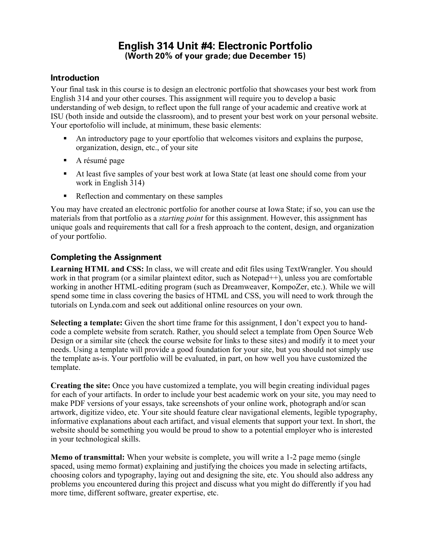# **English 314 Unit #4: Electronic Portfolio (Worth 20% of your grade; due December 15)**

### **Introduction**

Your final task in this course is to design an electronic portfolio that showcases your best work from English 314 and your other courses. This assignment will require you to develop a basic understanding of web design, to reflect upon the full range of your academic and creative work at ISU (both inside and outside the classroom), and to present your best work on your personal website. Your eportofolio will include, at minimum, these basic elements:

- An introductory page to your eportfolio that welcomes visitors and explains the purpose, organization, design, etc., of your site
- A résumé page
- At least five samples of your best work at Iowa State (at least one should come from your work in English 314)
- Reflection and commentary on these samples

You may have created an electronic portfolio for another course at Iowa State; if so, you can use the materials from that portfolio as a *starting point* for this assignment. However, this assignment has unique goals and requirements that call for a fresh approach to the content, design, and organization of your portfolio.

# **Completing the Assignment**

**Learning HTML and CSS:** In class, we will create and edit files using TextWrangler. You should work in that program (or a similar plaintext editor, such as Notepad<sup>++</sup>), unless you are comfortable working in another HTML-editing program (such as Dreamweaver, KompoZer, etc.). While we will spend some time in class covering the basics of HTML and CSS, you will need to work through the tutorials on Lynda.com and seek out additional online resources on your own.

**Selecting a template:** Given the short time frame for this assignment, I don't expect you to handcode a complete website from scratch. Rather, you should select a template from Open Source Web Design or a similar site (check the course website for links to these sites) and modify it to meet your needs. Using a template will provide a good foundation for your site, but you should not simply use the template as-is. Your portfolio will be evaluated, in part, on how well you have customized the template.

**Creating the site:** Once you have customized a template, you will begin creating individual pages for each of your artifacts. In order to include your best academic work on your site, you may need to make PDF versions of your essays, take screenshots of your online work, photograph and/or scan artwork, digitize video, etc. Your site should feature clear navigational elements, legible typography, informative explanations about each artifact, and visual elements that support your text. In short, the website should be something you would be proud to show to a potential employer who is interested in your technological skills.

**Memo of transmittal:** When your website is complete, you will write a 1-2 page memo (single spaced, using memo format) explaining and justifying the choices you made in selecting artifacts, choosing colors and typography, laying out and designing the site, etc. You should also address any problems you encountered during this project and discuss what you might do differently if you had more time, different software, greater expertise, etc.